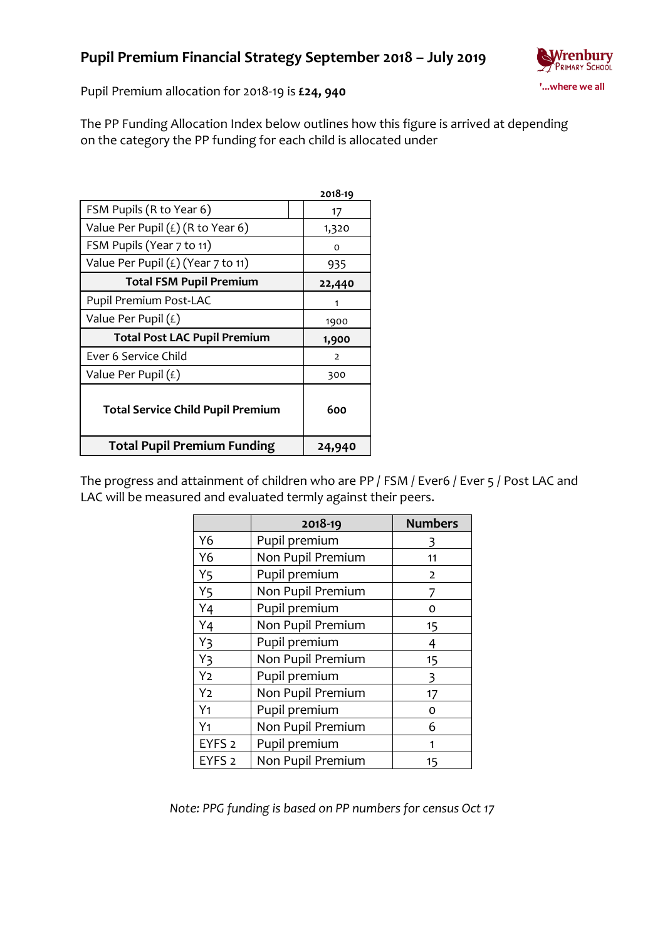

Pupil Premium allocation for 2018-19 is **£24, 940**

The PP Funding Allocation Index below outlines how this figure is arrived at depending on the category the PP funding for each child is allocated under

|                                          | 2018-19 |
|------------------------------------------|---------|
| FSM Pupils (R to Year 6)                 | 17      |
| Value Per Pupil $(E)$ (R to Year 6)      | 1,320   |
| FSM Pupils (Year 7 to 11)                | O       |
| Value Per Pupil $(E)$ (Year 7 to 11)     | 935     |
| <b>Total FSM Pupil Premium</b>           | 22,440  |
| Pupil Premium Post-LAC                   | 1       |
| Value Per Pupil $(f)$                    | 1900    |
| <b>Total Post LAC Pupil Premium</b>      | 1,900   |
| Ever 6 Service Child                     | 2       |
| Value Per Pupil $(E)$                    | 300     |
| <b>Total Service Child Pupil Premium</b> | 600     |
| <b>Total Pupil Premium Funding</b>       | 24,940  |

The progress and attainment of children who are PP / FSM / Ever6 / Ever 5 / Post LAC and LAC will be measured and evaluated termly against their peers.

|                   | 2018-19           | <b>Numbers</b> |
|-------------------|-------------------|----------------|
| Y6                | Pupil premium     | 3              |
| Y6                | Non Pupil Premium | 11             |
| Y5                | Pupil premium     | $\overline{2}$ |
| Y <sub>5</sub>    | Non Pupil Premium |                |
| Y4                | Pupil premium     | o              |
| Y4                | Non Pupil Premium | 15             |
| Y3                | Pupil premium     | 4              |
| Y3                | Non Pupil Premium | 15             |
| Y2                | Pupil premium     | 3              |
| Y <sub>2</sub>    | Non Pupil Premium | 17             |
| Y <sub>1</sub>    | Pupil premium     | 0              |
| Y <sub>1</sub>    | Non Pupil Premium | 6              |
| EYFS <sub>2</sub> | Pupil premium     | 1              |
| EYFS <sub>2</sub> | Non Pupil Premium | 15             |

*Note: PPG funding is based on PP numbers for census Oct 17*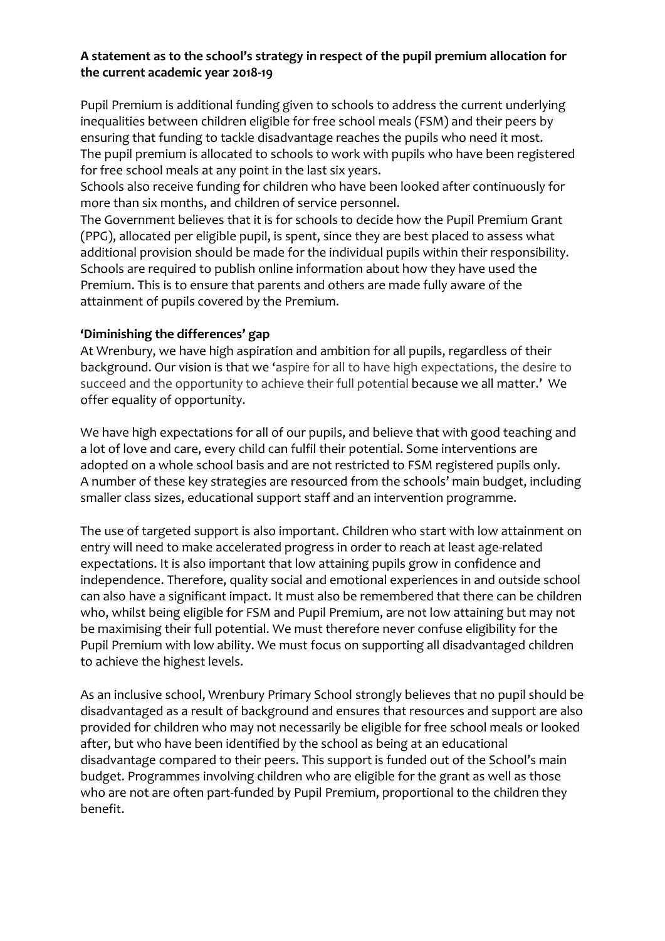## **A statement as to the school's strategy in respect of the pupil premium allocation for the current academic year 2018-19**

Pupil Premium is additional funding given to schools to address the current underlying inequalities between children eligible for free school meals (FSM) and their peers by ensuring that funding to tackle disadvantage reaches the pupils who need it most. The pupil premium is allocated to schools to work with pupils who have been registered for free school meals at any point in the last six years.

Schools also receive funding for children who have been looked after continuously for more than six months, and children of service personnel.

The Government believes that it is for schools to decide how the Pupil Premium Grant (PPG), allocated per eligible pupil, is spent, since they are best placed to assess what additional provision should be made for the individual pupils within their responsibility. Schools are required to publish online information about how they have used the Premium. This is to ensure that parents and others are made fully aware of the attainment of pupils covered by the Premium.

#### **'Diminishing the differences' gap**

At Wrenbury, we have high aspiration and ambition for all pupils, regardless of their background. Our vision is that we 'aspire for all to have high expectations, the desire to succeed and the opportunity to achieve their full potential because we all matter.' We offer equality of opportunity.

We have high expectations for all of our pupils, and believe that with good teaching and a lot of love and care, every child can fulfil their potential. Some interventions are adopted on a whole school basis and are not restricted to FSM registered pupils only. A number of these key strategies are resourced from the schools' main budget, including smaller class sizes, educational support staff and an intervention programme.

The use of targeted support is also important. Children who start with low attainment on entry will need to make accelerated progress in order to reach at least age-related expectations. It is also important that low attaining pupils grow in confidence and independence. Therefore, quality social and emotional experiences in and outside school can also have a significant impact. It must also be remembered that there can be children who, whilst being eligible for FSM and Pupil Premium, are not low attaining but may not be maximising their full potential. We must therefore never confuse eligibility for the Pupil Premium with low ability. We must focus on supporting all disadvantaged children to achieve the highest levels.

As an inclusive school, Wrenbury Primary School strongly believes that no pupil should be disadvantaged as a result of background and ensures that resources and support are also provided for children who may not necessarily be eligible for free school meals or looked after, but who have been identified by the school as being at an educational disadvantage compared to their peers. This support is funded out of the School's main budget. Programmes involving children who are eligible for the grant as well as those who are not are often part-funded by Pupil Premium, proportional to the children they benefit.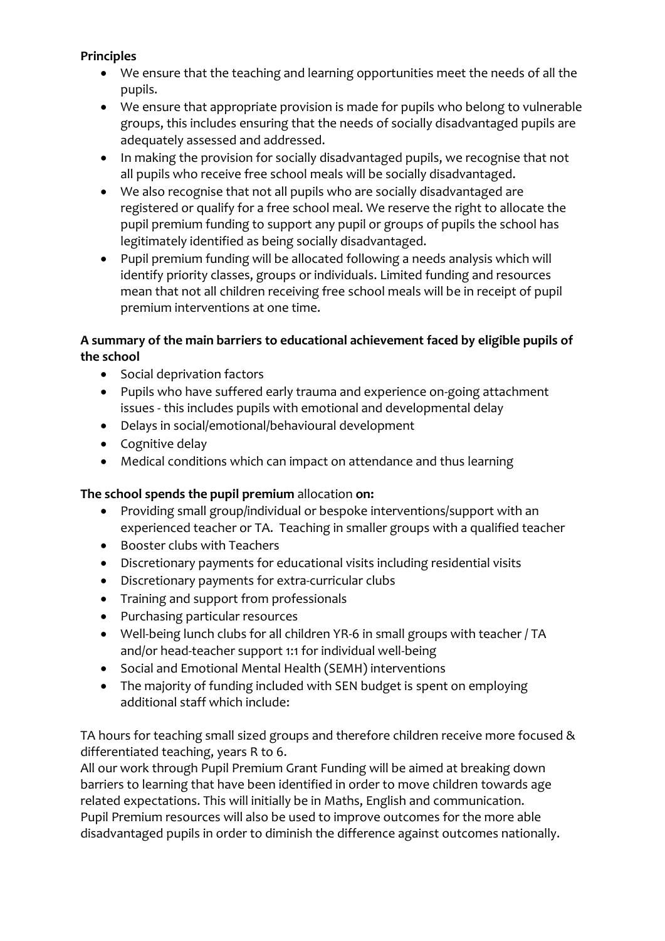### **Principles**

- We ensure that the teaching and learning opportunities meet the needs of all the pupils.
- We ensure that appropriate provision is made for pupils who belong to vulnerable groups, this includes ensuring that the needs of socially disadvantaged pupils are adequately assessed and addressed.
- In making the provision for socially disadvantaged pupils, we recognise that not all pupils who receive free school meals will be socially disadvantaged.
- We also recognise that not all pupils who are socially disadvantaged are registered or qualify for a free school meal. We reserve the right to allocate the pupil premium funding to support any pupil or groups of pupils the school has legitimately identified as being socially disadvantaged.
- Pupil premium funding will be allocated following a needs analysis which will identify priority classes, groups or individuals. Limited funding and resources mean that not all children receiving free school meals will be in receipt of pupil premium interventions at one time.

## **A summary of the main barriers to educational achievement faced by eligible pupils of the school**

- Social deprivation factors
- Pupils who have suffered early trauma and experience on-going attachment issues - this includes pupils with emotional and developmental delay
- Delays in social/emotional/behavioural development
- Cognitive delay
- Medical conditions which can impact on attendance and thus learning

## **The school spends the pupil premium** allocation **on:**

- Providing small group/individual or bespoke interventions/support with an experienced teacher or TA. Teaching in smaller groups with a qualified teacher
- Booster clubs with Teachers
- Discretionary payments for educational visits including residential visits
- Discretionary payments for extra-curricular clubs
- Training and support from professionals
- Purchasing particular resources
- Well-being lunch clubs for all children YR-6 in small groups with teacher / TA and/or head-teacher support 1:1 for individual well-being
- Social and Emotional Mental Health (SEMH) interventions
- The majority of funding included with SEN budget is spent on employing additional staff which include:

TA hours for teaching small sized groups and therefore children receive more focused & differentiated teaching, years R to 6.

All our work through Pupil Premium Grant Funding will be aimed at breaking down barriers to learning that have been identified in order to move children towards age related expectations. This will initially be in Maths, English and communication. Pupil Premium resources will also be used to improve outcomes for the more able disadvantaged pupils in order to diminish the difference against outcomes nationally.